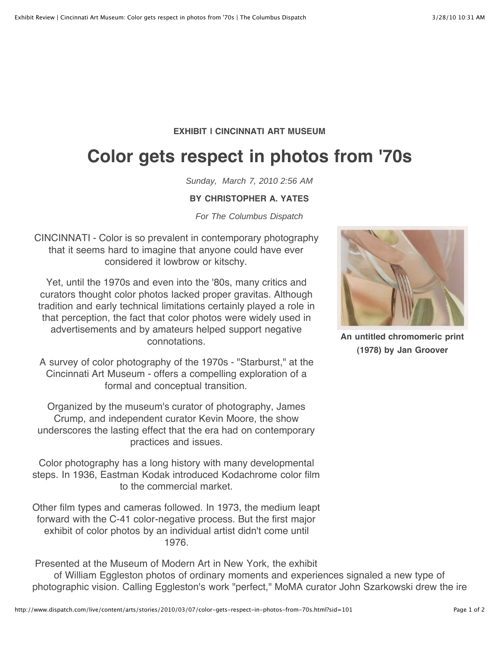## **EXHIBIT | CINCINNATI ART MUSEUM**

## **Color gets respect in photos from '70s**

Sunday, March 7, 2010 2:56 AM

## **BY CHRISTOPHER A. YATES**

For The Columbus Dispatch

CINCINNATI - Color is so prevalent in contemporary photography that it seems hard to imagine that anyone could have ever considered it lowbrow or kitschy.

Yet, until the 1970s and even into the '80s, many critics and curators thought color photos lacked proper gravitas. Although tradition and early technical limitations certainly played a role in that perception, the fact that color photos were widely used in advertisements and by amateurs helped support negative connotations.

A survey of color photography of the 1970s - "Starburst," at the Cincinnati Art Museum - offers a compelling exploration of a formal and conceptual transition.

Organized by the museum's curator of photography, James Crump, and independent curator Kevin Moore, the show underscores the lasting effect that the era had on contemporary practices and issues.

Color photography has a long history with many developmental steps. In 1936, Eastman Kodak introduced Kodachrome color film to the commercial market.

Other film types and cameras followed. In 1973, the medium leapt forward with the C-41 color-negative process. But the first major exhibit of color photos by an individual artist didn't come until 1976.

**An untitled chromomeric print (1978) by Jan Groover**

Presented at the Museum of Modern Art in New York, the exhibit of William Eggleston photos of ordinary moments and experiences signaled a new type of photographic vision. Calling Eggleston's work "perfect," MoMA curator John Szarkowski drew the ire